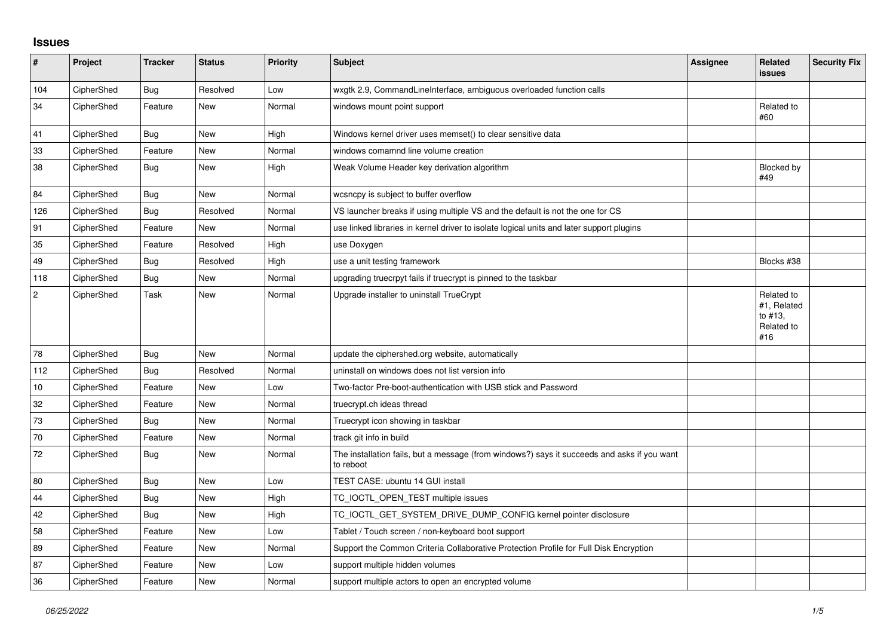## **Issues**

| #              | Project    | <b>Tracker</b> | <b>Status</b> | <b>Priority</b> | Subject                                                                                                  | <b>Assignee</b> | <b>Related</b><br><b>issues</b>                           | <b>Security Fix</b> |
|----------------|------------|----------------|---------------|-----------------|----------------------------------------------------------------------------------------------------------|-----------------|-----------------------------------------------------------|---------------------|
| 104            | CipherShed | Bug            | Resolved      | Low             | wxgtk 2.9, CommandLineInterface, ambiguous overloaded function calls                                     |                 |                                                           |                     |
| 34             | CipherShed | Feature        | New           | Normal          | windows mount point support                                                                              |                 | Related to<br>#60                                         |                     |
| 41             | CipherShed | Bug            | New           | High            | Windows kernel driver uses memset() to clear sensitive data                                              |                 |                                                           |                     |
| 33             | CipherShed | Feature        | <b>New</b>    | Normal          | windows comamnd line volume creation                                                                     |                 |                                                           |                     |
| 38             | CipherShed | Bug            | New           | High            | Weak Volume Header key derivation algorithm                                                              |                 | Blocked by<br>#49                                         |                     |
| 84             | CipherShed | Bug            | New           | Normal          | wcsncpy is subject to buffer overflow                                                                    |                 |                                                           |                     |
| 126            | CipherShed | Bug            | Resolved      | Normal          | VS launcher breaks if using multiple VS and the default is not the one for CS                            |                 |                                                           |                     |
| 91             | CipherShed | Feature        | <b>New</b>    | Normal          | use linked libraries in kernel driver to isolate logical units and later support plugins                 |                 |                                                           |                     |
| 35             | CipherShed | Feature        | Resolved      | High            | use Doxygen                                                                                              |                 |                                                           |                     |
| 49             | CipherShed | <b>Bug</b>     | Resolved      | High            | use a unit testing framework                                                                             |                 | Blocks #38                                                |                     |
| 118            | CipherShed | Bug            | <b>New</b>    | Normal          | upgrading truecrpyt fails if truecrypt is pinned to the taskbar                                          |                 |                                                           |                     |
| $\overline{c}$ | CipherShed | Task           | <b>New</b>    | Normal          | Upgrade installer to uninstall TrueCrypt                                                                 |                 | Related to<br>#1, Related<br>to #13,<br>Related to<br>#16 |                     |
| 78             | CipherShed | Bug            | <b>New</b>    | Normal          | update the ciphershed.org website, automatically                                                         |                 |                                                           |                     |
| 112            | CipherShed | Bug            | Resolved      | Normal          | uninstall on windows does not list version info                                                          |                 |                                                           |                     |
| 10             | CipherShed | Feature        | <b>New</b>    | Low             | Two-factor Pre-boot-authentication with USB stick and Password                                           |                 |                                                           |                     |
| 32             | CipherShed | Feature        | New           | Normal          | truecrypt.ch ideas thread                                                                                |                 |                                                           |                     |
| 73             | CipherShed | Bug            | <b>New</b>    | Normal          | Truecrypt icon showing in taskbar                                                                        |                 |                                                           |                     |
| 70             | CipherShed | Feature        | <b>New</b>    | Normal          | track git info in build                                                                                  |                 |                                                           |                     |
| $72\,$         | CipherShed | Bug            | <b>New</b>    | Normal          | The installation fails, but a message (from windows?) says it succeeds and asks if you want<br>to reboot |                 |                                                           |                     |
| 80             | CipherShed | Bug            | <b>New</b>    | Low             | TEST CASE: ubuntu 14 GUI install                                                                         |                 |                                                           |                     |
| 44             | CipherShed | Bug            | <b>New</b>    | High            | TC_IOCTL_OPEN_TEST multiple issues                                                                       |                 |                                                           |                     |
| 42             | CipherShed | Bug            | <b>New</b>    | High            | TC_IOCTL_GET_SYSTEM_DRIVE_DUMP_CONFIG kernel pointer disclosure                                          |                 |                                                           |                     |
| 58             | CipherShed | Feature        | <b>New</b>    | Low             | Tablet / Touch screen / non-keyboard boot support                                                        |                 |                                                           |                     |
| 89             | CipherShed | Feature        | New           | Normal          | Support the Common Criteria Collaborative Protection Profile for Full Disk Encryption                    |                 |                                                           |                     |
| 87             | CipherShed | Feature        | New           | Low             | support multiple hidden volumes                                                                          |                 |                                                           |                     |
| 36             | CipherShed | Feature        | <b>New</b>    | Normal          | support multiple actors to open an encrypted volume                                                      |                 |                                                           |                     |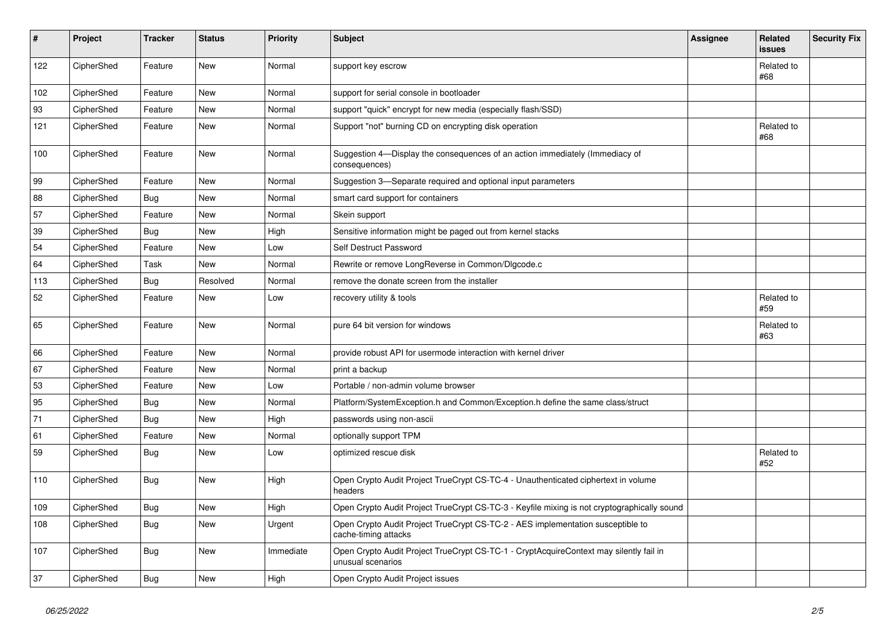| $\sharp$ | Project    | <b>Tracker</b> | <b>Status</b> | <b>Priority</b> | <b>Subject</b>                                                                                              | Assignee | Related<br>issues | <b>Security Fix</b> |
|----------|------------|----------------|---------------|-----------------|-------------------------------------------------------------------------------------------------------------|----------|-------------------|---------------------|
| 122      | CipherShed | Feature        | New           | Normal          | support key escrow                                                                                          |          | Related to<br>#68 |                     |
| 102      | CipherShed | Feature        | <b>New</b>    | Normal          | support for serial console in bootloader                                                                    |          |                   |                     |
| 93       | CipherShed | Feature        | New           | Normal          | support "quick" encrypt for new media (especially flash/SSD)                                                |          |                   |                     |
| 121      | CipherShed | Feature        | New           | Normal          | Support "not" burning CD on encrypting disk operation                                                       |          | Related to<br>#68 |                     |
| 100      | CipherShed | Feature        | New           | Normal          | Suggestion 4-Display the consequences of an action immediately (Immediacy of<br>consequences)               |          |                   |                     |
| 99       | CipherShed | Feature        | New           | Normal          | Suggestion 3-Separate required and optional input parameters                                                |          |                   |                     |
| 88       | CipherShed | <b>Bug</b>     | New           | Normal          | smart card support for containers                                                                           |          |                   |                     |
| 57       | CipherShed | Feature        | New           | Normal          | Skein support                                                                                               |          |                   |                     |
| 39       | CipherShed | <b>Bug</b>     | New           | High            | Sensitive information might be paged out from kernel stacks                                                 |          |                   |                     |
| 54       | CipherShed | Feature        | New           | Low             | Self Destruct Password                                                                                      |          |                   |                     |
| 64       | CipherShed | Task           | New           | Normal          | Rewrite or remove LongReverse in Common/DIgcode.c                                                           |          |                   |                     |
| 113      | CipherShed | Bug            | Resolved      | Normal          | remove the donate screen from the installer                                                                 |          |                   |                     |
| 52       | CipherShed | Feature        | New           | Low             | recovery utility & tools                                                                                    |          | Related to<br>#59 |                     |
| 65       | CipherShed | Feature        | New           | Normal          | pure 64 bit version for windows                                                                             |          | Related to<br>#63 |                     |
| 66       | CipherShed | Feature        | <b>New</b>    | Normal          | provide robust API for usermode interaction with kernel driver                                              |          |                   |                     |
| 67       | CipherShed | Feature        | <b>New</b>    | Normal          | print a backup                                                                                              |          |                   |                     |
| 53       | CipherShed | Feature        | <b>New</b>    | Low             | Portable / non-admin volume browser                                                                         |          |                   |                     |
| 95       | CipherShed | <b>Bug</b>     | New           | Normal          | Platform/SystemException.h and Common/Exception.h define the same class/struct                              |          |                   |                     |
| 71       | CipherShed | Bug            | <b>New</b>    | High            | passwords using non-ascii                                                                                   |          |                   |                     |
| 61       | CipherShed | Feature        | New           | Normal          | optionally support TPM                                                                                      |          |                   |                     |
| 59       | CipherShed | <b>Bug</b>     | New           | Low             | optimized rescue disk                                                                                       |          | Related to<br>#52 |                     |
| 110      | CipherShed | <b>Bug</b>     | New           | High            | Open Crypto Audit Project TrueCrypt CS-TC-4 - Unauthenticated ciphertext in volume<br>headers               |          |                   |                     |
| 109      | CipherShed | <b>Bug</b>     | <b>New</b>    | High            | Open Crypto Audit Project TrueCrypt CS-TC-3 - Keyfile mixing is not cryptographically sound                 |          |                   |                     |
| 108      | CipherShed | <b>Bug</b>     | New           | Urgent          | Open Crypto Audit Project TrueCrypt CS-TC-2 - AES implementation susceptible to<br>cache-timing attacks     |          |                   |                     |
| 107      | CipherShed | <b>Bug</b>     | New           | Immediate       | Open Crypto Audit Project TrueCrypt CS-TC-1 - CryptAcquireContext may silently fail in<br>unusual scenarios |          |                   |                     |
| 37       | CipherShed | <b>Bug</b>     | <b>New</b>    | High            | Open Crypto Audit Project issues                                                                            |          |                   |                     |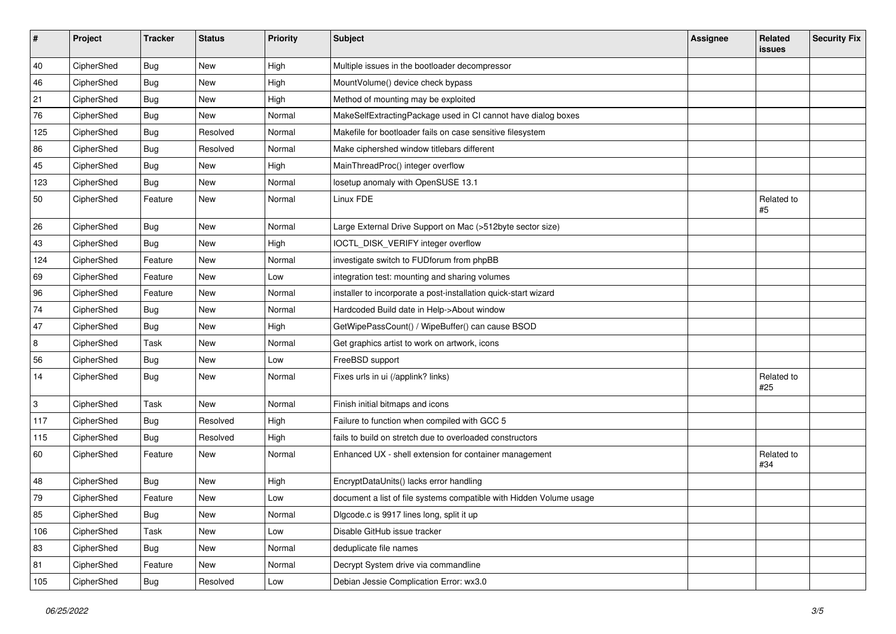| $\vert$ # | Project    | <b>Tracker</b> | <b>Status</b> | <b>Priority</b> | <b>Subject</b>                                                      | <b>Assignee</b> | Related<br>issues | <b>Security Fix</b> |
|-----------|------------|----------------|---------------|-----------------|---------------------------------------------------------------------|-----------------|-------------------|---------------------|
| 40        | CipherShed | Bug            | <b>New</b>    | High            | Multiple issues in the bootloader decompressor                      |                 |                   |                     |
| 46        | CipherShed | <b>Bug</b>     | New           | High            | MountVolume() device check bypass                                   |                 |                   |                     |
| 21        | CipherShed | <b>Bug</b>     | New           | High            | Method of mounting may be exploited                                 |                 |                   |                     |
| 76        | CipherShed | Bug            | New           | Normal          | MakeSelfExtractingPackage used in CI cannot have dialog boxes       |                 |                   |                     |
| 125       | CipherShed | <b>Bug</b>     | Resolved      | Normal          | Makefile for bootloader fails on case sensitive filesystem          |                 |                   |                     |
| 86        | CipherShed | Bug            | Resolved      | Normal          | Make ciphershed window titlebars different                          |                 |                   |                     |
| 45        | CipherShed | <b>Bug</b>     | New           | High            | MainThreadProc() integer overflow                                   |                 |                   |                     |
| 123       | CipherShed | Bug            | New           | Normal          | losetup anomaly with OpenSUSE 13.1                                  |                 |                   |                     |
| 50        | CipherShed | Feature        | New           | Normal          | Linux FDE                                                           |                 | Related to<br>#5  |                     |
| 26        | CipherShed | Bug            | New           | Normal          | Large External Drive Support on Mac (>512byte sector size)          |                 |                   |                     |
| 43        | CipherShed | Bug            | New           | High            | IOCTL_DISK_VERIFY integer overflow                                  |                 |                   |                     |
| 124       | CipherShed | Feature        | New           | Normal          | investigate switch to FUDforum from phpBB                           |                 |                   |                     |
| 69        | CipherShed | Feature        | New           | Low             | integration test: mounting and sharing volumes                      |                 |                   |                     |
| 96        | CipherShed | Feature        | New           | Normal          | installer to incorporate a post-installation quick-start wizard     |                 |                   |                     |
| 74        | CipherShed | <b>Bug</b>     | New           | Normal          | Hardcoded Build date in Help->About window                          |                 |                   |                     |
| 47        | CipherShed | Bug            | New           | High            | GetWipePassCount() / WipeBuffer() can cause BSOD                    |                 |                   |                     |
| 8         | CipherShed | Task           | New           | Normal          | Get graphics artist to work on artwork, icons                       |                 |                   |                     |
| 56        | CipherShed | <b>Bug</b>     | New           | Low             | FreeBSD support                                                     |                 |                   |                     |
| 14        | CipherShed | <b>Bug</b>     | New           | Normal          | Fixes urls in ui (/applink? links)                                  |                 | Related to<br>#25 |                     |
| 3         | CipherShed | Task           | New           | Normal          | Finish initial bitmaps and icons                                    |                 |                   |                     |
| 117       | CipherShed | <b>Bug</b>     | Resolved      | High            | Failure to function when compiled with GCC 5                        |                 |                   |                     |
| 115       | CipherShed | Bug            | Resolved      | High            | fails to build on stretch due to overloaded constructors            |                 |                   |                     |
| 60        | CipherShed | Feature        | New           | Normal          | Enhanced UX - shell extension for container management              |                 | Related to<br>#34 |                     |
| 48        | CipherShed | Bug            | New           | High            | EncryptDataUnits() lacks error handling                             |                 |                   |                     |
| 79        | CipherShed | Feature        | <b>New</b>    | Low             | document a list of file systems compatible with Hidden Volume usage |                 |                   |                     |
| 85        | CipherShed | <b>Bug</b>     | New           | Normal          | Digcode.c is 9917 lines long, split it up                           |                 |                   |                     |
| 106       | CipherShed | Task           | New           | Low             | Disable GitHub issue tracker                                        |                 |                   |                     |
| 83        | CipherShed | <b>Bug</b>     | New           | Normal          | deduplicate file names                                              |                 |                   |                     |
| 81        | CipherShed | Feature        | New           | Normal          | Decrypt System drive via commandline                                |                 |                   |                     |
| 105       | CipherShed | <b>Bug</b>     | Resolved      | Low             | Debian Jessie Complication Error: wx3.0                             |                 |                   |                     |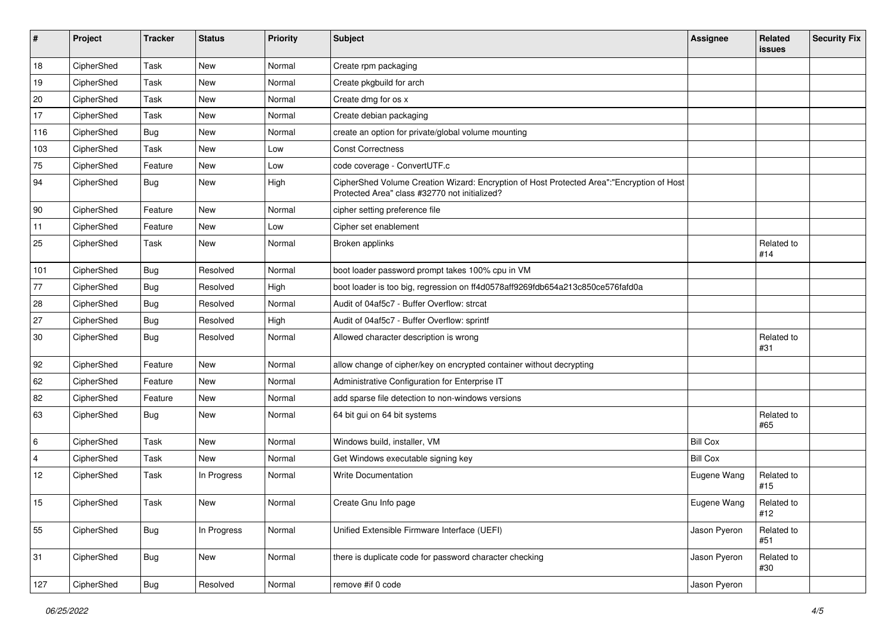| #              | Project    | <b>Tracker</b> | <b>Status</b> | Priority | Subject                                                                                                                                    | <b>Assignee</b> | Related<br><b>issues</b> | <b>Security Fix</b> |
|----------------|------------|----------------|---------------|----------|--------------------------------------------------------------------------------------------------------------------------------------------|-----------------|--------------------------|---------------------|
| 18             | CipherShed | Task           | <b>New</b>    | Normal   | Create rpm packaging                                                                                                                       |                 |                          |                     |
| 19             | CipherShed | Task           | New           | Normal   | Create pkgbuild for arch                                                                                                                   |                 |                          |                     |
| 20             | CipherShed | Task           | New           | Normal   | Create dmg for os x                                                                                                                        |                 |                          |                     |
| 17             | CipherShed | Task           | New           | Normal   | Create debian packaging                                                                                                                    |                 |                          |                     |
| 116            | CipherShed | <b>Bug</b>     | New           | Normal   | create an option for private/global volume mounting                                                                                        |                 |                          |                     |
| 103            | CipherShed | Task           | New           | Low      | <b>Const Correctness</b>                                                                                                                   |                 |                          |                     |
| 75             | CipherShed | Feature        | New           | Low      | code coverage - ConvertUTF.c                                                                                                               |                 |                          |                     |
| 94             | CipherShed | Bug            | New           | High     | CipherShed Volume Creation Wizard: Encryption of Host Protected Area":"Encryption of Host<br>Protected Area" class #32770 not initialized? |                 |                          |                     |
| 90             | CipherShed | Feature        | New           | Normal   | cipher setting preference file                                                                                                             |                 |                          |                     |
| 11             | CipherShed | Feature        | New           | Low      | Cipher set enablement                                                                                                                      |                 |                          |                     |
| 25             | CipherShed | Task           | New           | Normal   | Broken applinks                                                                                                                            |                 | Related to<br>#14        |                     |
| 101            | CipherShed | <b>Bug</b>     | Resolved      | Normal   | boot loader password prompt takes 100% cpu in VM                                                                                           |                 |                          |                     |
| 77             | CipherShed | Bug            | Resolved      | High     | boot loader is too big, regression on ff4d0578aff9269fdb654a213c850ce576fafd0a                                                             |                 |                          |                     |
| 28             | CipherShed | Bug            | Resolved      | Normal   | Audit of 04af5c7 - Buffer Overflow: strcat                                                                                                 |                 |                          |                     |
| 27             | CipherShed | <b>Bug</b>     | Resolved      | High     | Audit of 04af5c7 - Buffer Overflow: sprintf                                                                                                |                 |                          |                     |
| 30             | CipherShed | <b>Bug</b>     | Resolved      | Normal   | Allowed character description is wrong                                                                                                     |                 | Related to<br>#31        |                     |
| 92             | CipherShed | Feature        | New           | Normal   | allow change of cipher/key on encrypted container without decrypting                                                                       |                 |                          |                     |
| 62             | CipherShed | Feature        | New           | Normal   | Administrative Configuration for Enterprise IT                                                                                             |                 |                          |                     |
| 82             | CipherShed | Feature        | <b>New</b>    | Normal   | add sparse file detection to non-windows versions                                                                                          |                 |                          |                     |
| 63             | CipherShed | Bug            | New           | Normal   | 64 bit gui on 64 bit systems                                                                                                               |                 | Related to<br>#65        |                     |
| 6              | CipherShed | Task           | New           | Normal   | Windows build, installer, VM                                                                                                               | <b>Bill Cox</b> |                          |                     |
| $\overline{4}$ | CipherShed | Task           | <b>New</b>    | Normal   | Get Windows executable signing key                                                                                                         | <b>Bill Cox</b> |                          |                     |
| 12             | CipherShed | Task           | In Progress   | Normal   | <b>Write Documentation</b>                                                                                                                 | Eugene Wang     | Related to<br>#15        |                     |
| 15             | CipherShed | Task           | <b>New</b>    | Normal   | Create Gnu Info page                                                                                                                       | Eugene Wang     | Related to<br>#12        |                     |
| 55             | CipherShed | <b>Bug</b>     | In Progress   | Normal   | Unified Extensible Firmware Interface (UEFI)                                                                                               | Jason Pyeron    | Related to<br>#51        |                     |
| 31             | CipherShed | <b>Bug</b>     | New           | Normal   | there is duplicate code for password character checking                                                                                    | Jason Pyeron    | Related to<br>#30        |                     |
| 127            | CipherShed | Bug            | Resolved      | Normal   | remove #if 0 code                                                                                                                          | Jason Pyeron    |                          |                     |